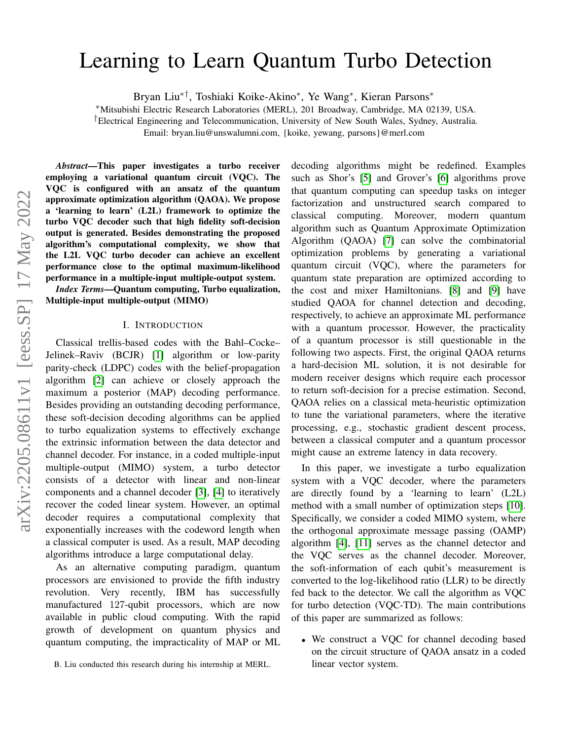# Learning to Learn Quantum Turbo Detection

Bryan Liu∗†, Toshiaki Koike-Akino<sup>∗</sup> , Ye Wang<sup>∗</sup> , Kieran Parsons<sup>∗</sup>

<sup>∗</sup>Mitsubishi Electric Research Laboratories (MERL), 201 Broadway, Cambridge, MA 02139, USA.

†Electrical Engineering and Telecommunication, University of New South Wales, Sydney, Australia.

Email: bryan.liu@unswalumni.com, {koike, yewang, parsons}@merl.com

*Abstract*—This paper investigates a turbo receiver employing a variational quantum circuit (VQC). The VQC is configured with an ansatz of the quantum approximate optimization algorithm (QAOA). We propose a 'learning to learn' (L2L) framework to optimize the turbo VQC decoder such that high fidelity soft-decision output is generated. Besides demonstrating the proposed algorithm's computational complexity, we show that the L2L VQC turbo decoder can achieve an excellent performance close to the optimal maximum-likelihood performance in a multiple-input multiple-output system.

*Index Terms*—Quantum computing, Turbo equalization, Multiple-input multiple-output (MIMO)

#### I. INTRODUCTION

Classical trellis-based codes with the Bahl–Cocke– Jelinek–Raviv (BCJR) [\[1\]](#page-5-0) algorithm or low-parity parity-check (LDPC) codes with the belief-propagation algorithm [\[2\]](#page-5-1) can achieve or closely approach the maximum a posterior (MAP) decoding performance. Besides providing an outstanding decoding performance, these soft-decision decoding algorithms can be applied to turbo equalization systems to effectively exchange the extrinsic information between the data detector and channel decoder. For instance, in a coded multiple-input multiple-output (MIMO) system, a turbo detector consists of a detector with linear and non-linear components and a channel decoder [\[3\]](#page-5-2), [\[4\]](#page-5-3) to iteratively recover the coded linear system. However, an optimal decoder requires a computational complexity that exponentially increases with the codeword length when a classical computer is used. As a result, MAP decoding algorithms introduce a large computational delay.

As an alternative computing paradigm, quantum processors are envisioned to provide the fifth industry revolution. Very recently, IBM has successfully manufactured 127-qubit processors, which are now available in public cloud computing. With the rapid growth of development on quantum physics and quantum computing, the impracticality of MAP or ML decoding algorithms might be redefined. Examples such as Shor's [\[5\]](#page-5-4) and Grover's [\[6\]](#page-5-5) algorithms prove that quantum computing can speedup tasks on integer factorization and unstructured search compared to classical computing. Moreover, modern quantum algorithm such as Quantum Approximate Optimization Algorithm (QAOA) [\[7\]](#page-5-6) can solve the combinatorial optimization problems by generating a variational quantum circuit (VQC), where the parameters for quantum state preparation are optimized according to the cost and mixer Hamiltonians. [\[8\]](#page-5-7) and [\[9\]](#page-5-8) have studied QAOA for channel detection and decoding, respectively, to achieve an approximate ML performance with a quantum processor. However, the practicality of a quantum processor is still questionable in the following two aspects. First, the original QAOA returns a hard-decision ML solution, it is not desirable for modern receiver designs which require each processor to return soft-decision for a precise estimation. Second, QAOA relies on a classical meta-heuristic optimization to tune the variational parameters, where the iterative processing, e.g., stochastic gradient descent process, between a classical computer and a quantum processor might cause an extreme latency in data recovery.

In this paper, we investigate a turbo equalization system with a VQC decoder, where the parameters are directly found by a 'learning to learn' (L2L) method with a small number of optimization steps [\[10\]](#page-5-9). Specifically, we consider a coded MIMO system, where the orthogonal approximate message passing (OAMP) algorithm [\[4\]](#page-5-3), [\[11\]](#page-5-10) serves as the channel detector and the VQC serves as the channel decoder. Moreover, the soft-information of each qubit's measurement is converted to the log-likelihood ratio (LLR) to be directly fed back to the detector. We call the algorithm as VQC for turbo detection (VQC-TD). The main contributions of this paper are summarized as follows:

• We construct a VQC for channel decoding based on the circuit structure of QAOA ansatz in a coded linear vector system.

B. Liu conducted this research during his internship at MERL.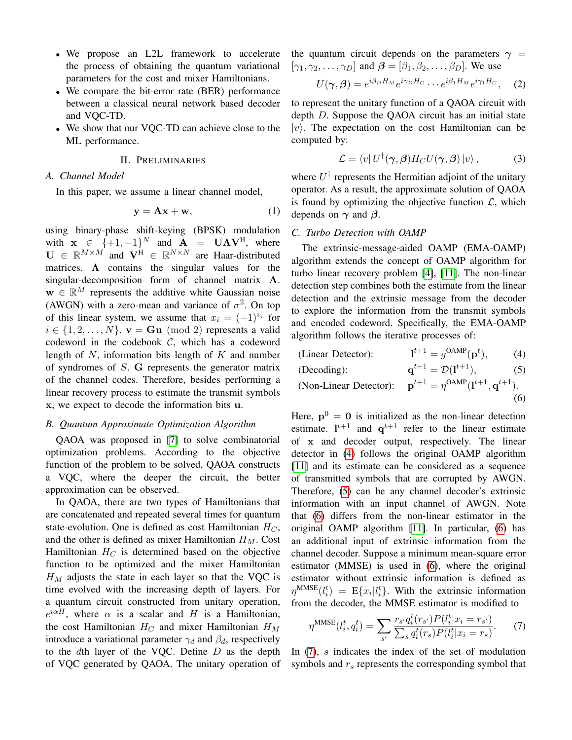- We propose an L2L framework to accelerate the process of obtaining the quantum variational parameters for the cost and mixer Hamiltonians.
- We compare the bit-error rate (BER) performance between a classical neural network based decoder and VQC-TD.
- We show that our VQC-TD can achieve close to the ML performance.

#### II. PRELIMINARIES

## *A. Channel Model*

In this paper, we assume a linear channel model,

$$
y = Ax + w,\tag{1}
$$

using binary-phase shift-keying (BPSK) modulation with  $x \in \{+1, -1\}^N$  and  $A = U\Lambda V^H$ , where  $\mathbf{U} \in \mathbb{R}^{M \times M}$  and  $\mathbf{V}^{\mathrm{H}} \in \mathbb{R}^{N \times N}$  are Haar-distributed matrices.  $\Lambda$  contains the singular values for the singular-decomposition form of channel matrix A.  $\mathbf{w} \in \mathbb{R}^M$  represents the additive white Gaussian noise (AWGN) with a zero-mean and variance of  $\sigma^2$ . On top of this linear system, we assume that  $x_i = (-1)^{v_i}$  for  $i \in \{1, 2, \ldots, N\}$ .  $\mathbf{v} = \mathbf{G}\mathbf{u} \pmod{2}$  represents a valid codeword in the codebook  $C$ , which has a codeword length of  $N$ , information bits length of  $K$  and number of syndromes of S. G represents the generator matrix of the channel codes. Therefore, besides performing a linear recovery process to estimate the transmit symbols x, we expect to decode the information bits u.

#### *B. Quantum Approximate Optimization Algorithm*

QAOA was proposed in [\[7\]](#page-5-6) to solve combinatorial optimization problems. According to the objective function of the problem to be solved, QAOA constructs a VQC, where the deeper the circuit, the better approximation can be observed.

In QAOA, there are two types of Hamiltonians that are concatenated and repeated several times for quantum state-evolution. One is defined as cost Hamiltonian  $H_C$ , and the other is defined as mixer Hamiltonian  $H_M$ . Cost Hamiltonian  $H_C$  is determined based on the objective function to be optimized and the mixer Hamiltonian  $H_M$  adjusts the state in each layer so that the VQC is time evolved with the increasing depth of layers. For a quantum circuit constructed from unitary operation,  $e^{i\alpha H}$ , where  $\alpha$  is a scalar and H is a Hamiltonian, the cost Hamiltonian  $H_C$  and mixer Hamiltonian  $H_M$ introduce a variational parameter  $\gamma_d$  and  $\beta_d$ , respectively to the  $d$ th layer of the VQC. Define  $D$  as the depth of VQC generated by QAOA. The unitary operation of the quantum circuit depends on the parameters  $\gamma$  =  $[\gamma_1, \gamma_2, \ldots, \gamma_D]$  and  $\boldsymbol{\beta} = [\beta_1, \beta_2, \ldots, \beta_D]$ . We use

$$
U(\gamma,\beta) = e^{i\beta_D H_M} e^{i\gamma_D H_C} \cdots e^{i\beta_1 H_M} e^{i\gamma_1 H_C}, \quad (2)
$$

to represent the unitary function of a QAOA circuit with depth D. Suppose the QAOA circuit has an initial state  $|v\rangle$ . The expectation on the cost Hamiltonian can be computed by:

$$
\mathcal{L} = \langle v | U^{\dagger}(\gamma, \beta) H_C U(\gamma, \beta) | v \rangle, \qquad (3)
$$

where  $U^{\dagger}$  represents the Hermitian adjoint of the unitary operator. As a result, the approximate solution of QAOA is found by optimizing the objective function  $\mathcal{L}$ , which depends on  $\gamma$  and  $\beta$ .

# *C. Turbo Detection with OAMP*

The extrinsic-message-aided OAMP (EMA-OAMP) algorithm extends the concept of OAMP algorithm for turbo linear recovery problem [\[4\]](#page-5-3), [\[11\]](#page-5-10). The non-linear detection step combines both the estimate from the linear detection and the extrinsic message from the decoder to explore the information from the transmit symbols and encoded codeword. Specifically, the EMA-OAMP algorithm follows the iterative processes of:

<span id="page-1-2"></span><span id="page-1-1"></span><span id="page-1-0"></span>

| (Linear Detector):     | $1^{t+1} = q^{\text{OAMP}}(p^t),$                                  | (4) |
|------------------------|--------------------------------------------------------------------|-----|
| (Decoding):            | $\mathbf{q}^{t+1} = \mathcal{D}(\mathbf{l}^{t+1}),$                | (5) |
| (Non-Linear Detector): | ${\bf p}^{t+1} = \eta^{\text{OAMP}}({\bf l}^{t+1},{\bf q}^{t+1}).$ |     |
|                        |                                                                    | (6) |

Here,  $p^0 = 0$  is initialized as the non-linear detection estimate.  $l^{t+1}$  and  $q^{t+1}$  refer to the linear estimate of x and decoder output, respectively. The linear detector in [\(4\)](#page-1-0) follows the original OAMP algorithm [\[11\]](#page-5-10) and its estimate can be considered as a sequence of transmitted symbols that are corrupted by AWGN. Therefore, [\(5\)](#page-1-1) can be any channel decoder's extrinsic information with an input channel of AWGN. Note that [\(6\)](#page-1-2) differs from the non-linear estimator in the original OAMP algorithm [\[11\]](#page-5-10). In particular, [\(6\)](#page-1-2) has an additional input of extrinsic information from the channel decoder. Suppose a minimum mean-square error estimator (MMSE) is used in [\(6\)](#page-1-2), where the original estimator without extrinsic information is defined as  $\eta^{\text{MMSE}}(l_i^t) = \mathbb{E}\{x_i|l_i^t\}.$  With the extrinsic information from the decoder, the MMSE estimator is modified to

<span id="page-1-3"></span>
$$
\eta^{\text{MMSE}}(l_i^t, q_i^t) = \sum_{s'} \frac{r_{s'} q_i^t(r_{s'}) P(l_i^t | x_i = r_{s'})}{\sum_s q_i^t(r_s) P(l_i^t | x_i = r_s)}.
$$
(7)

In  $(7)$ , s indicates the index of the set of modulation symbols and  $r<sub>s</sub>$  represents the corresponding symbol that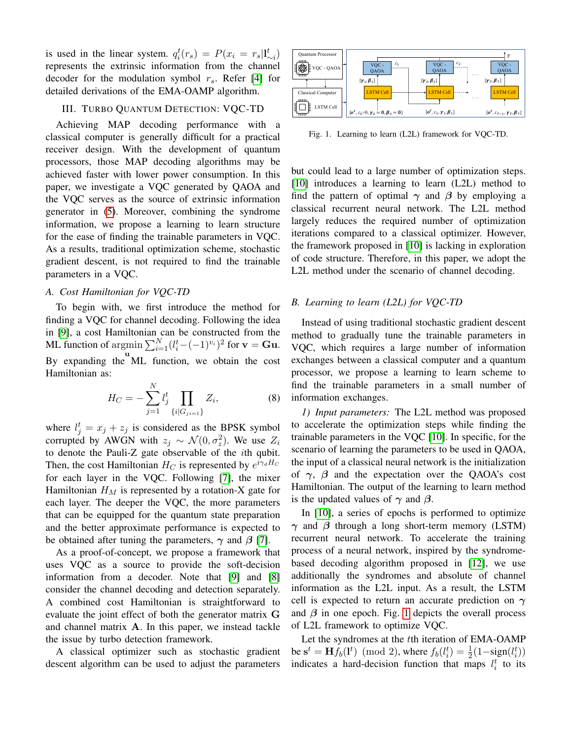is used in the linear system.  $q_i^t(r_s) = P(x_i = r_s|I_{\sim i}^t)$ represents the extrinsic information from the channel decoder for the modulation symbol  $r_s$ . Refer [\[4\]](#page-5-3) for detailed derivations of the EMA-OAMP algorithm.

# III. TURBO QUANTUM DETECTION: VOC-TD

Achieving MAP decoding performance with a classical computer is generally difficult for a practical receiver design. With the development of quantum processors, those MAP decoding algorithms may be achieved faster with lower power consumption. In this paper, we investigate a VQC generated by QAOA and the VQC serves as the source of extrinsic information generator in [\(5\)](#page-1-1). Moreover, combining the syndrome information, we propose a learning to learn structure for the ease of finding the trainable parameters in VQC. As a results, traditional optimization scheme, stochastic gradient descent, is not required to find the trainable parameters in a VQC.

# *A. Cost Hamiltonian for VQC-TD*

To begin with, we first introduce the method for finding a VQC for channel decoding. Following the idea in [\[9\]](#page-5-8), a cost Hamiltonian can be constructed from the ML function of  $\operatorname{argmin} \sum_{i=1}^{N} (l_i^t - (-1)^{v_i})^2$  for  $\mathbf{v} = \mathbf{G} \mathbf{u}$ . By expanding the  $ML$  function, we obtain the cost Hamiltonian as:

$$
H_C = -\sum_{j=1}^{N} l_j^t \prod_{\{i|G_{ji=1}\}} Z_i,
$$
 (8)

where  $l_j^t = x_j + z_j$  is considered as the BPSK symbol corrupted by AWGN with  $z_j \sim \mathcal{N}(0, \sigma_z^2)$ . We use  $Z_i$ to denote the Pauli-Z gate observable of the ith qubit. Then, the cost Hamiltonian  $H_C$  is represented by  $e^{i\gamma_d H_C}$ for each layer in the VQC. Following [\[7\]](#page-5-6), the mixer Hamiltonian  $H_M$  is represented by a rotation-X gate for each layer. The deeper the VQC, the more parameters that can be equipped for the quantum state preparation and the better approximate performance is expected to be obtained after tuning the parameters,  $\gamma$  and  $\beta$  [\[7\]](#page-5-6).

As a proof-of-concept, we propose a framework that uses VQC as a source to provide the soft-decision information from a decoder. Note that [\[9\]](#page-5-8) and [\[8\]](#page-5-7) consider the channel decoding and detection separately. A combined cost Hamiltonian is straightforward to evaluate the joint effect of both the generator matrix G and channel matrix A. In this paper, we instead tackle the issue by turbo detection framework.

A classical optimizer such as stochastic gradient descent algorithm can be used to adjust the parameters



<span id="page-2-0"></span>Fig. 1. Learning to learn (L2L) framework for VQC-TD.

but could lead to a large number of optimization steps. [\[10\]](#page-5-9) introduces a learning to learn (L2L) method to find the pattern of optimal  $\gamma$  and  $\beta$  by employing a classical recurrent neural network. The L2L method largely reduces the required number of optimization iterations compared to a classical optimizer. However, the framework proposed in [\[10\]](#page-5-9) is lacking in exploration of code structure. Therefore, in this paper, we adopt the L2L method under the scenario of channel decoding.

# *B. Learning to learn (L2L) for VQC-TD*

Instead of using traditional stochastic gradient descent method to gradually tune the trainable parameters in VQC, which requires a large number of information exchanges between a classical computer and a quantum processor, we propose a learning to learn scheme to find the trainable parameters in a small number of information exchanges.

*1) Input parameters:* The L2L method was proposed to accelerate the optimization steps while finding the trainable parameters in the VQC [\[10\]](#page-5-9). In specific, for the scenario of learning the parameters to be used in QAOA, the input of a classical neural network is the initialization of  $\gamma$ ,  $\beta$  and the expectation over the QAOA's cost Hamiltonian. The output of the learning to learn method is the updated values of  $\gamma$  and  $\beta$ .

In [\[10\]](#page-5-9), a series of epochs is performed to optimize  $\gamma$  and  $\beta$  through a long short-term memory (LSTM) recurrent neural network. To accelerate the training process of a neural network, inspired by the syndromebased decoding algorithm proposed in [\[12\]](#page-5-11), we use additionally the syndromes and absolute of channel information as the L2L input. As a result, the LSTM cell is expected to return an accurate prediction on  $\gamma$ and  $\beta$  in one epoch. Fig. [1](#page-2-0) depicts the overall process of L2L framework to optimize VQC.

Let the syndromes at the tth iteration of EMA-OAMP be  $s^t = Hf_b(l^t) \pmod{2}$ , where  $f_b(l_i^t) = \frac{1}{2}(1 - sign(l_i^t))$ indicates a hard-decision function that maps  $l_i^t$  to its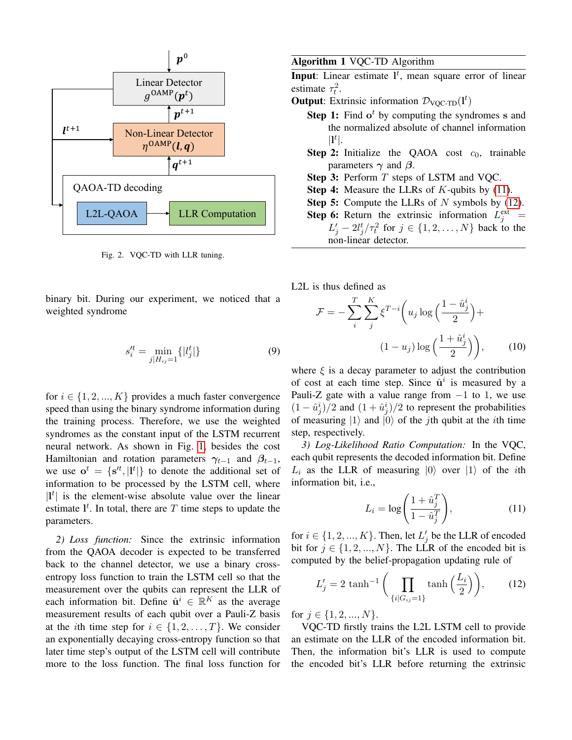

Fig. 2. VQC-TD with LLR tuning.

binary bit. During our experiment, we noticed that a weighted syndrome

$$
s_i'^t = \min_{j|H_{ij}=1} \{|l_j^t|\} \tag{9}
$$

for  $i \in \{1, 2, ..., K\}$  provides a much faster convergence speed than using the binary syndrome information during the training process. Therefore, we use the weighted syndromes as the constant input of the LSTM recurrent neural network. As shown in Fig. [1,](#page-2-0) besides the cost Hamiltonian and rotation parameters  $\gamma_{t-1}$  and  $\beta_{t-1}$ , we use  $o^t = \{s^{rt}, |I^t|\}$  to denote the additional set of information to be processed by the LSTM cell, where  $|l^t|$  is the element-wise absolute value over the linear estimate  $I^t$ . In total, there are T time steps to update the parameters.

*2) Loss function:* Since the extrinsic information from the QAOA decoder is expected to be transferred back to the channel detector, we use a binary crossentropy loss function to train the LSTM cell so that the measurement over the qubits can represent the LLR of each information bit. Define  $\hat{\mathbf{u}}^i \in \mathbb{R}^K$  as the average measurement results of each qubit over a Pauli-Z basis at the *i*th time step for  $i \in \{1, 2, ..., T\}$ . We consider an exponentially decaying cross-entropy function so that later time step's output of the LSTM cell will contribute more to the loss function. The final loss function for <span id="page-3-2"></span>Algorithm 1 VQC-TD Algorithm

**Input**: Linear estimate  $I^t$ , mean square error of linear estimate  $\tau_t^2$ .

- **Output**: Extrinsic information  $\mathcal{D}_{VQC-TD}(l^t)$ 
	- **Step 1:** Find  $o^t$  by computing the syndromes s and the normalized absolute of channel information  $|\mathbf{l}^t|.$
	- **Step 2:** Initialize the QAOA cost  $c_0$ , trainable parameters  $\gamma$  and  $\beta$ .
	- Step 3: Perform T steps of LSTM and VQC.
	- Step 4: Measure the LLRs of K-qubits by [\(11\)](#page-3-0).
	- **Step 5:** Compute the LLRs of  $N$  symbols by [\(12\)](#page-3-1).
	- **Step 6:** Return the extrinsic information  $L_j^{\text{ext}}$  =  $L'_j - 2l_j^t / \tau_t^2$  for  $j \in \{1, 2, ..., N\}$  back to the non-linear detector.

L2L is thus defined as

$$
\mathcal{F} = -\sum_{i}^{T} \sum_{j}^{K} \xi^{T-i} \left( u_j \log \left( \frac{1 - \hat{u}_j^i}{2} \right) + \frac{\left( 1 - u_j \right) \log \left( \frac{1 + \hat{u}_j^i}{2} \right)}{\left( 1 - u_j \right) \log \left( \frac{1 + \hat{u}_j^i}{2} \right)} \right), \quad (10)
$$

where  $\xi$  is a decay parameter to adjust the contribution of cost at each time step. Since  $\hat{u}^i$  is measured by a Pauli-Z gate with a value range from  $-1$  to 1, we use  $(1 - \hat{u}_j^i)/2$  and  $(1 + \hat{u}_j^i)/2$  to represent the probabilities of measuring  $|1\rangle$  and  $|0\rangle$  of the *j*th qubit at the *i*th time step, respectively.

*3) Log-Likelihood Ratio Computation:* In the VQC, each qubit represents the decoded information bit. Define  $L_i$  as the LLR of measuring  $|0\rangle$  over  $|1\rangle$  of the *i*th information bit, i.e.,

<span id="page-3-0"></span>
$$
L_i = \log\left(\frac{1 + \hat{u}_j^T}{1 - \hat{u}_j^T}\right),\tag{11}
$$

for  $i \in \{1, 2, ..., K\}$ . Then, let  $L'_j$  be the LLR of encoded bit for  $j \in \{1, 2, ..., N\}$ . The LLR of the encoded bit is computed by the belief-propagation updating rule of

<span id="page-3-1"></span>
$$
L_j' = 2 \tanh^{-1}\left(\prod_{\{i|G_{ij}=1\}} \tanh\left(\frac{L_i}{2}\right)\right),\tag{12}
$$

for  $j \in \{1, 2, ..., N\}$ .

VQC-TD firstly trains the L2L LSTM cell to provide an estimate on the LLR of the encoded information bit. Then, the information bit's LLR is used to compute the encoded bit's LLR before returning the extrinsic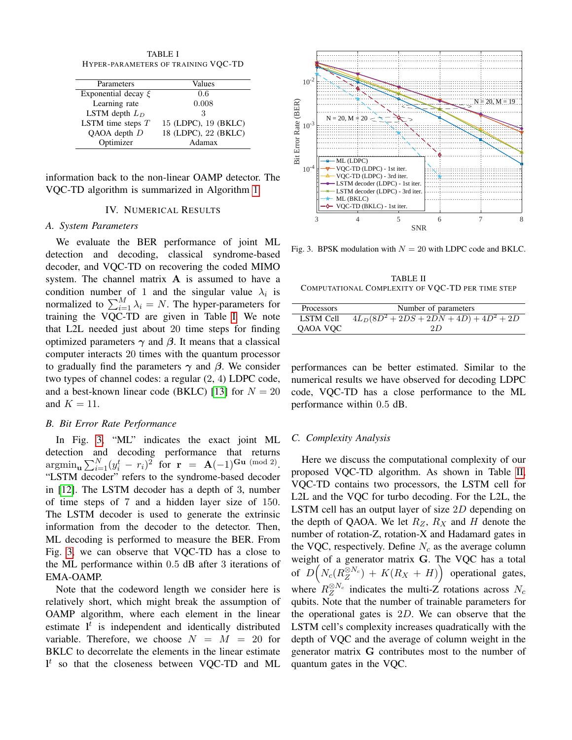<span id="page-4-0"></span>TABLE I HYPER-PARAMETERS OF TRAINING VQC-TD

| Parameters              | Values               |
|-------------------------|----------------------|
| Exponential decay $\xi$ | 0.6                  |
| Learning rate           | 0.008                |
| LSTM depth $L_D$        | З                    |
| LSTM time steps $T$     | 15 (LDPC), 19 (BKLC) |
| QAOA depth $D$          | 18 (LDPC), 22 (BKLC) |
| Optimizer               | Adamax               |

information back to the non-linear OAMP detector. The VQC-TD algorithm is summarized in Algorithm [1.](#page-3-2)

# IV. NUMERICAL RESULTS

#### *A. System Parameters*

We evaluate the BER performance of joint ML detection and decoding, classical syndrome-based decoder, and VQC-TD on recovering the coded MIMO system. The channel matrix  $A$  is assumed to have a condition number of 1 and the singular value  $\lambda_i$  is normalized to  $\sum_{i=1}^{M} \lambda_i = N$ . The hyper-parameters for training the VQC-TD are given in Table [I.](#page-4-0) We note that L2L needed just about 20 time steps for finding optimized parameters  $\gamma$  and  $\beta$ . It means that a classical computer interacts 20 times with the quantum processor to gradually find the parameters  $\gamma$  and  $\beta$ . We consider two types of channel codes: a regular (2, 4) LDPC code, and a best-known linear code (BKLC) [\[13\]](#page-5-12) for  $N = 20$ and  $K = 11$ .

#### *B. Bit Error Rate Performance*

In Fig. [3,](#page-4-1) "ML" indicates the exact joint ML detection and decoding performance that returns  $\operatorname{argmin}_{\mathbf{u}} \sum_{i=1}^{N} (y_i^t - r_i)^2$  for  $\mathbf{r} = \mathbf{A}(-1)^{\mathbf{Gu} \pmod{2}}$ . "LSTM decoder" refers to the syndrome-based decoder in [\[12\]](#page-5-11). The LSTM decoder has a depth of 3, number of time steps of 7 and a hidden layer size of 150. The LSTM decoder is used to generate the extrinsic information from the decoder to the detector. Then, ML decoding is performed to measure the BER. From Fig. [3,](#page-4-1) we can observe that VQC-TD has a close to the ML performance within 0.5 dB after 3 iterations of EMA-OAMP.

Note that the codeword length we consider here is relatively short, which might break the assumption of OAMP algorithm, where each element in the linear estimate  $l^t$  is independent and identically distributed variable. Therefore, we choose  $N = M = 20$  for BKLC to decorrelate the elements in the linear estimate  $l<sup>t</sup>$  so that the closeness between VQC-TD and ML



<span id="page-4-1"></span>Fig. 3. BPSK modulation with  $N = 20$  with LDPC code and BKLC.

<span id="page-4-2"></span>TABLE II COMPUTATIONAL COMPLEXITY OF VQC-TD PER TIME STEP

| Processors | Number of parameters            |
|------------|---------------------------------|
| LSTM Cell  | $4L_D(8D^2+2DS+2DN+4D)+4D^2+2D$ |
| QAOA VQC   | 2D                              |

performances can be better estimated. Similar to the numerical results we have observed for decoding LDPC code, VQC-TD has a close performance to the ML performance within 0.5 dB.

#### *C. Complexity Analysis*

Here we discuss the computational complexity of our proposed VQC-TD algorithm. As shown in Table [II,](#page-4-2) VQC-TD contains two processors, the LSTM cell for L2L and the VQC for turbo decoding. For the L2L, the LSTM cell has an output layer of size 2D depending on the depth of QAOA. We let  $R_Z$ ,  $R_X$  and H denote the number of rotation-Z, rotation-X and Hadamard gates in the VQC, respectively. Define  $N_c$  as the average column weight of a generator matrix G. The VQC has a total of  $D\Big(N_c(R_Z^{\otimes N_c}) + K(R_X + H)\Big)$  operational gates, where  $R_Z^{\otimes N_c}$  indicates the multi-Z rotations across  $N_c$ qubits. Note that the number of trainable parameters for the operational gates is  $2D$ . We can observe that the LSTM cell's complexity increases quadratically with the depth of VQC and the average of column weight in the generator matrix G contributes most to the number of quantum gates in the VQC.